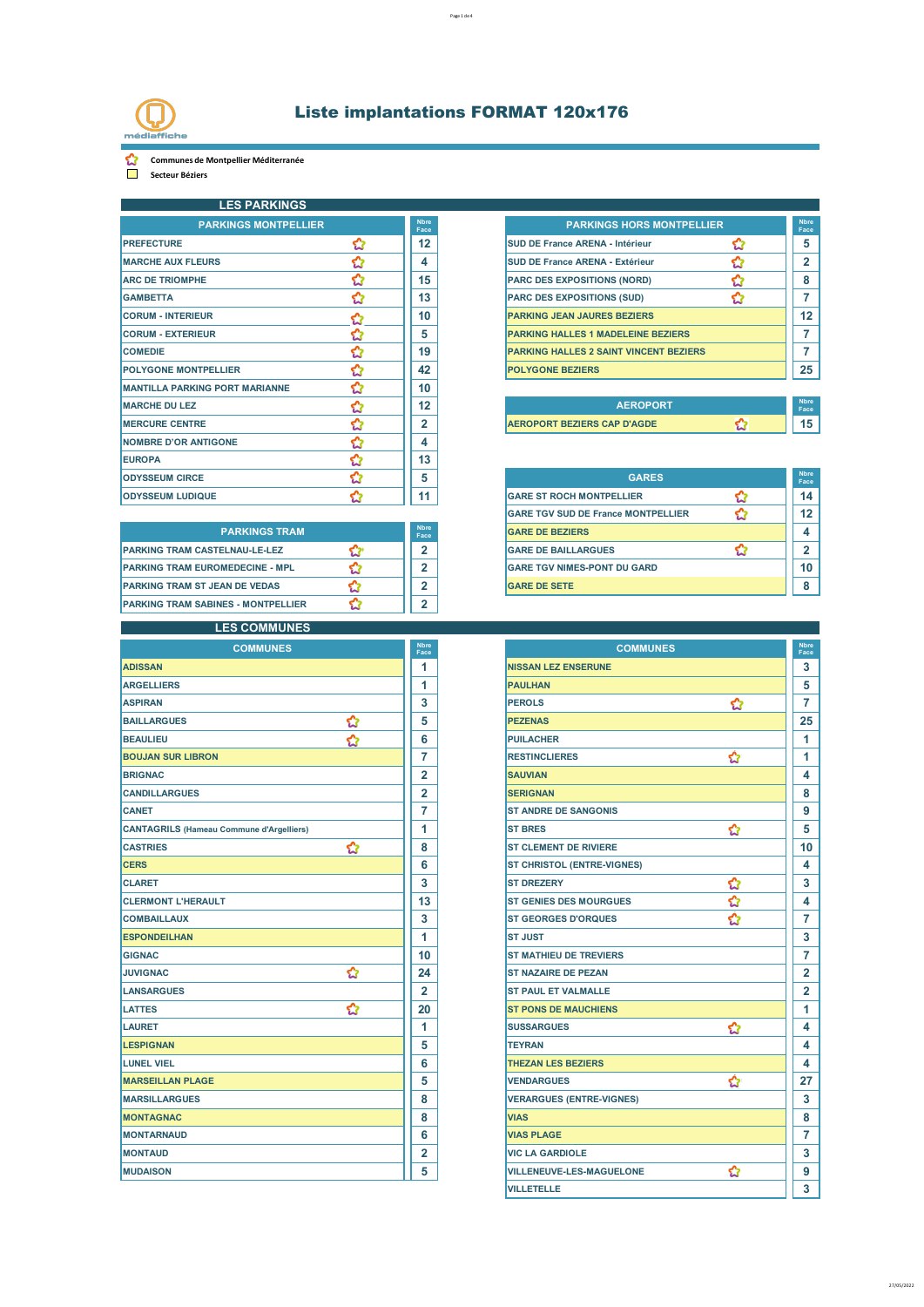

**Communes de Montpellier Méditerranée** 

**Secteur Béziers**

| <b>LES PARKINGS</b>                   |   |                     |                                               |   |                      |
|---------------------------------------|---|---------------------|-----------------------------------------------|---|----------------------|
| <b>PARKINGS MONTPELLIER</b>           |   | <b>Nhre</b><br>Face | <b>PARKINGS HORS MONTPELLIER</b>              |   | <b>N</b> bre<br>Face |
| <b>PREFECTURE</b>                     | ✿ | 12                  | <b>SUD DE France ARENA - Intérieur</b>        | ✿ | 5                    |
| <b>MARCHE AUX FLEURS</b>              | ✿ | 4                   | <b>SUD DE France ARENA - Extérieur</b>        | ✿ | $\overline{2}$       |
| <b>ARC DE TRIOMPHE</b>                | ✿ | 15                  | <b>PARC DES EXPOSITIONS (NORD)</b>            | ☆ | 8                    |
| <b>GAMBETTA</b>                       | ✿ | 13                  | <b>PARC DES EXPOSITIONS (SUD)</b>             | ☆ | 7                    |
| <b>CORUM - INTERIEUR</b>              | ✿ | 10 <sup>1</sup>     | <b>PARKING JEAN JAURES BEZIERS</b>            |   | 12                   |
| <b>CORUM - EXTERIEUR</b>              | ✿ | 5                   | <b>PARKING HALLES 1 MADELEINE BEZIERS</b>     |   | 7                    |
| <b>COMEDIE</b>                        | ✿ | 19                  | <b>PARKING HALLES 2 SAINT VINCENT BEZIERS</b> |   | 7                    |
| <b>POLYGONE MONTPELLIER</b>           | ✿ | 42                  | <b>POLYGONE BEZIERS</b>                       |   | 25                   |
| <b>MANTILLA PARKING PORT MARIANNE</b> | ✿ | 10                  |                                               |   |                      |
| <b>MARCHE DU LEZ</b>                  | ✿ | 12                  | <b>AEROPORT</b>                               |   | <b>Nbre</b><br>Face  |
| <b>MERCURE CENTRE</b>                 | ☆ | 2                   | <b>AEROPORT BEZIERS CAP D'AGDE</b>            | Ø | 15                   |
| <b>NOMBRE D'OR ANTIGONE</b>           | ✿ | 4                   |                                               |   |                      |
| <b>EUROPA</b>                         | ✿ | 13                  |                                               |   |                      |
| <b>ODYSSEUM CIRCE</b>                 | ✿ | 5                   | <b>GARES</b>                                  |   | <b>Nbre</b><br>Face  |
| <b>ODYSSEUM LUDIQUE</b>               |   | 11                  | <b>GARE ST ROCH MONTPELLIER</b>               |   | 14                   |

|                                           |                     | --                                 |    |
|-------------------------------------------|---------------------|------------------------------------|----|
| <b>PARKINGS TRAM</b>                      | <b>Nbre</b><br>Face | <b>GARE DE BEZIERS</b>             |    |
| <b>PARKING TRAM CASTELNAU-LE-LEZ</b>      | Ð                   | <b>GARE DE BAILLARGUES</b>         |    |
| <b>PARKING TRAM EUROMEDECINE - MPL</b>    | Ð                   | <b>GARE TGV NIMES-PONT DU GARD</b> | 10 |
| <b>PARKING TRAM ST JEAN DE VEDAS</b>      | -                   | <b>IGARE DE SETE</b>               | 8  |
| <b>PARKING TRAM SABINES - MONTPELLIER</b> | c                   |                                    |    |

### **LES COMMUNES**

| <b>ADISSAN</b><br>1<br>1<br><b>ARGELLIERS</b><br>3<br><b>ASPIRAN</b><br>✿<br><b>BAILLARGUES</b><br>5<br>✿<br>6<br><b>BEAULIEU</b><br>7<br><b>BOUJAN SUR LIBRON</b><br>$\overline{2}$<br><b>BRIGNAC</b><br>$\overline{2}$<br><b>CANDILLARGUES</b><br>7<br><b>CANET</b><br>1<br><b>CANTAGRILS (Hameau Commune d'Argelliers)</b><br>✿<br><b>CASTRIES</b><br>8<br><b>CERS</b><br>6<br><b>CLARET</b><br>3<br><b>CLERMONT L'HERAULT</b><br>13<br><b>COMBAILLAUX</b><br>3<br>1<br><b>ESPONDEILHAN</b><br>10<br><b>GIGNAC</b><br>✿<br>24<br><b>JUVIGNAC</b><br><b>LANSARGUES</b><br>$\overline{2}$<br>✿<br><b>LATTES</b><br>20<br>1<br><b>LAURET</b><br>5<br><b>LESPIGNAN</b><br>6<br><b>LUNEL VIEL</b><br>5<br><b>MARSEILLAN PLAGE</b><br>8<br><b>MARSILLARGUES</b><br>8<br><b>MONTAGNAC</b><br>6<br><b>MONTARNAUD</b><br>$\overline{2}$<br><b>MONTAUD</b><br><b>MUDAISON</b><br>5 | <b>COMMUNES</b> | <b>Nbre</b><br>Face |
|-----------------------------------------------------------------------------------------------------------------------------------------------------------------------------------------------------------------------------------------------------------------------------------------------------------------------------------------------------------------------------------------------------------------------------------------------------------------------------------------------------------------------------------------------------------------------------------------------------------------------------------------------------------------------------------------------------------------------------------------------------------------------------------------------------------------------------------------------------------------------------|-----------------|---------------------|
|                                                                                                                                                                                                                                                                                                                                                                                                                                                                                                                                                                                                                                                                                                                                                                                                                                                                             |                 |                     |
|                                                                                                                                                                                                                                                                                                                                                                                                                                                                                                                                                                                                                                                                                                                                                                                                                                                                             |                 |                     |
|                                                                                                                                                                                                                                                                                                                                                                                                                                                                                                                                                                                                                                                                                                                                                                                                                                                                             |                 |                     |
|                                                                                                                                                                                                                                                                                                                                                                                                                                                                                                                                                                                                                                                                                                                                                                                                                                                                             |                 |                     |
|                                                                                                                                                                                                                                                                                                                                                                                                                                                                                                                                                                                                                                                                                                                                                                                                                                                                             |                 |                     |
|                                                                                                                                                                                                                                                                                                                                                                                                                                                                                                                                                                                                                                                                                                                                                                                                                                                                             |                 |                     |
|                                                                                                                                                                                                                                                                                                                                                                                                                                                                                                                                                                                                                                                                                                                                                                                                                                                                             |                 |                     |
|                                                                                                                                                                                                                                                                                                                                                                                                                                                                                                                                                                                                                                                                                                                                                                                                                                                                             |                 |                     |
| <b>ST BRES</b>                                                                                                                                                                                                                                                                                                                                                                                                                                                                                                                                                                                                                                                                                                                                                                                                                                                              |                 |                     |
| <b>ST CLEMENT DE RIVIERE</b><br><b>VIAS</b>                                                                                                                                                                                                                                                                                                                                                                                                                                                                                                                                                                                                                                                                                                                                                                                                                                 |                 |                     |
| <b>ST CHRISTOL (ENTRE-VIGNES)</b>                                                                                                                                                                                                                                                                                                                                                                                                                                                                                                                                                                                                                                                                                                                                                                                                                                           |                 |                     |
| <b>ST DREZERY</b><br><b>ST JUST</b><br><b>TEYRAN</b>                                                                                                                                                                                                                                                                                                                                                                                                                                                                                                                                                                                                                                                                                                                                                                                                                        |                 |                     |
| <b>ST GENIES DES MOURGUES</b>                                                                                                                                                                                                                                                                                                                                                                                                                                                                                                                                                                                                                                                                                                                                                                                                                                               |                 |                     |
| <b>ST GEORGES D'ORQUES</b>                                                                                                                                                                                                                                                                                                                                                                                                                                                                                                                                                                                                                                                                                                                                                                                                                                                  |                 |                     |
|                                                                                                                                                                                                                                                                                                                                                                                                                                                                                                                                                                                                                                                                                                                                                                                                                                                                             |                 |                     |
| <b>ST MATHIEU DE TREVIERS</b><br><b>VIAS PLAGE</b>                                                                                                                                                                                                                                                                                                                                                                                                                                                                                                                                                                                                                                                                                                                                                                                                                          |                 |                     |
| <b>ST NAZAIRE DE PEZAN</b><br><b>SUSSARGUES</b><br><b>VENDARGUES</b>                                                                                                                                                                                                                                                                                                                                                                                                                                                                                                                                                                                                                                                                                                                                                                                                        |                 |                     |
| <b>ST PAUL ET VALMALLE</b>                                                                                                                                                                                                                                                                                                                                                                                                                                                                                                                                                                                                                                                                                                                                                                                                                                                  |                 |                     |
| <b>ST PONS DE MAUCHIENS</b>                                                                                                                                                                                                                                                                                                                                                                                                                                                                                                                                                                                                                                                                                                                                                                                                                                                 |                 |                     |
|                                                                                                                                                                                                                                                                                                                                                                                                                                                                                                                                                                                                                                                                                                                                                                                                                                                                             |                 |                     |
|                                                                                                                                                                                                                                                                                                                                                                                                                                                                                                                                                                                                                                                                                                                                                                                                                                                                             |                 |                     |
| <b>THEZAN LES BEZIERS</b>                                                                                                                                                                                                                                                                                                                                                                                                                                                                                                                                                                                                                                                                                                                                                                                                                                                   |                 |                     |
| <b>VERARGUES (ENTRE-VIGNES)</b><br><b>VIC LA GARDIOLE</b><br><b>VILLENEUVE-LES-MAGUELONE</b>                                                                                                                                                                                                                                                                                                                                                                                                                                                                                                                                                                                                                                                                                                                                                                                |                 |                     |
|                                                                                                                                                                                                                                                                                                                                                                                                                                                                                                                                                                                                                                                                                                                                                                                                                                                                             |                 |                     |
|                                                                                                                                                                                                                                                                                                                                                                                                                                                                                                                                                                                                                                                                                                                                                                                                                                                                             |                 |                     |
|                                                                                                                                                                                                                                                                                                                                                                                                                                                                                                                                                                                                                                                                                                                                                                                                                                                                             |                 |                     |
|                                                                                                                                                                                                                                                                                                                                                                                                                                                                                                                                                                                                                                                                                                                                                                                                                                                                             |                 |                     |
|                                                                                                                                                                                                                                                                                                                                                                                                                                                                                                                                                                                                                                                                                                                                                                                                                                                                             |                 |                     |
|                                                                                                                                                                                                                                                                                                                                                                                                                                                                                                                                                                                                                                                                                                                                                                                                                                                                             |                 |                     |

| <b>PARKINGS MONTPELLIER</b>      |  |     | <b>PARKINGS HORS MONTPELLIER</b>              | <b>Nbre</b><br>Face |
|----------------------------------|--|-----|-----------------------------------------------|---------------------|
| <b>PREFECTURE</b>                |  | 12  | <b>SUD DE France ARENA - Intérieur</b>        |                     |
| <b>MARCHE AUX FLEURS</b>         |  |     | <b>SUD DE France ARENA - Extérieur</b>        |                     |
| <b>ARC DE TRIOMPHE</b>           |  | 15  | <b>PARC DES EXPOSITIONS (NORD)</b>            |                     |
| <b>GAMBETTA</b>                  |  | 13  | <b>PARC DES EXPOSITIONS (SUD)</b>             |                     |
| <b>CORUM - INTERIEUR</b>         |  | 10  | <b>PARKING JEAN JAURES BEZIERS</b>            | 12                  |
| <b>CORUM - EXTERIEUR</b>         |  | 5   | <b>PARKING HALLES 1 MADELEINE BEZIERS</b>     |                     |
| <b>COMEDIE</b>                   |  | 19  | <b>PARKING HALLES 2 SAINT VINCENT BEZIERS</b> |                     |
| <b>POLYGONE MONTPELLIER</b>      |  | 42  | <b>POLYGONE BEZIERS</b>                       | 25                  |
| MANITILLA DADIZING DODT MADIANNE |  | 4 O |                                               |                     |

| <b>AEROPORT</b>                    | <b>N</b> bre<br>Face |
|------------------------------------|----------------------|
| <b>AEROPORT BEZIERS CAP D'AGDE</b> |                      |

| <b>ODYSSEUM CIRCE</b>                  | 5                   | <b>GARES</b>                              |  |
|----------------------------------------|---------------------|-------------------------------------------|--|
| <b>ODYSSEUM LUDIQUE</b>                | 11                  | <b>GARE ST ROCH MONTPELLIER</b>           |  |
|                                        |                     | <b>GARE TGV SUD DE France MONTPELLIER</b> |  |
| <b>PARKINGS TRAM</b>                   | <b>Nbre</b><br>Face | <b>GARE DE BEZIERS</b>                    |  |
| PARKING TRAM CASTELNAU-LE-LEZ          | $\mathbf{2}$        | <b>GARE DE BAILLARGUES</b>                |  |
| <b>PARKING TRAM EUROMEDECINE - MPL</b> | o                   | <b>GARE TGV NIMES-PONT DU GARD</b>        |  |
| PARKING TRAM ST JEAN DE VEDAS          | o                   | <b>GARE DE SETE</b>                       |  |
|                                        |                     |                                           |  |

| <b>Nbre</b><br>Face | <b>COMMUNES</b>                         | <b>Nbre</b><br>Face |
|---------------------|-----------------------------------------|---------------------|
| 1                   | <b>NISSAN LEZ ENSERUNE</b>              | 3                   |
| 1                   | <b>PAULHAN</b>                          | 5                   |
| 3                   | ✿<br><b>PEROLS</b>                      | 7                   |
| 5                   | <b>PEZENAS</b>                          | 25                  |
| 6                   | <b>PUILACHER</b>                        | 1                   |
| 7                   | ✿<br><b>RESTINCLIERES</b>               | 1                   |
| $\overline{2}$      | <b>SAUVIAN</b>                          | 4                   |
| $\overline{2}$      | <b>SERIGNAN</b>                         | 8                   |
| 7                   | <b>ST ANDRE DE SANGONIS</b>             | 9                   |
| 1                   | ✿<br><b>ST BRES</b>                     | 5                   |
| 8                   | <b>ST CLEMENT DE RIVIERE</b>            | 10                  |
| 6                   | <b>ST CHRISTOL (ENTRE-VIGNES)</b>       | 4                   |
| 3                   | <b>ST DREZERY</b>                       | 3                   |
| 13                  | ර<br>ර<br><b>ST GENIES DES MOURGUES</b> | 4                   |
| 3                   | Ò<br><b>ST GEORGES D'ORQUES</b>         | 7                   |
| 1                   | <b>ST JUST</b>                          | 3                   |
| 10                  | <b>ST MATHIEU DE TREVIERS</b>           | 7                   |
| 24                  | <b>ST NAZAIRE DE PEZAN</b>              | $\overline{2}$      |
| $\overline{2}$      | <b>ST PAUL ET VALMALLE</b>              | $\overline{2}$      |
| 20                  | <b>ST PONS DE MAUCHIENS</b>             | 1                   |
| 1                   | <b>SUSSARGUES</b><br>✿                  | 4                   |
| 5                   | <b>TEYRAN</b>                           | 4                   |
| 6                   | <b>THEZAN LES BEZIERS</b>               | 4                   |
| 5                   | ✿<br><b>VENDARGUES</b>                  | 27                  |
| 8                   | <b>VERARGUES (ENTRE-VIGNES)</b>         | 3                   |
| 8                   | <b>VIAS</b>                             | 8                   |
| 6                   | <b>VIAS PLAGE</b>                       | 7                   |
| 2                   | <b>VIC LA GARDIOLE</b>                  | 3                   |
| 5                   | ✿<br><b>VILLENEUVE-LES-MAGUELONE</b>    | 9                   |
|                     | <b>VILLETELLE</b>                       | 3                   |

27/05/2022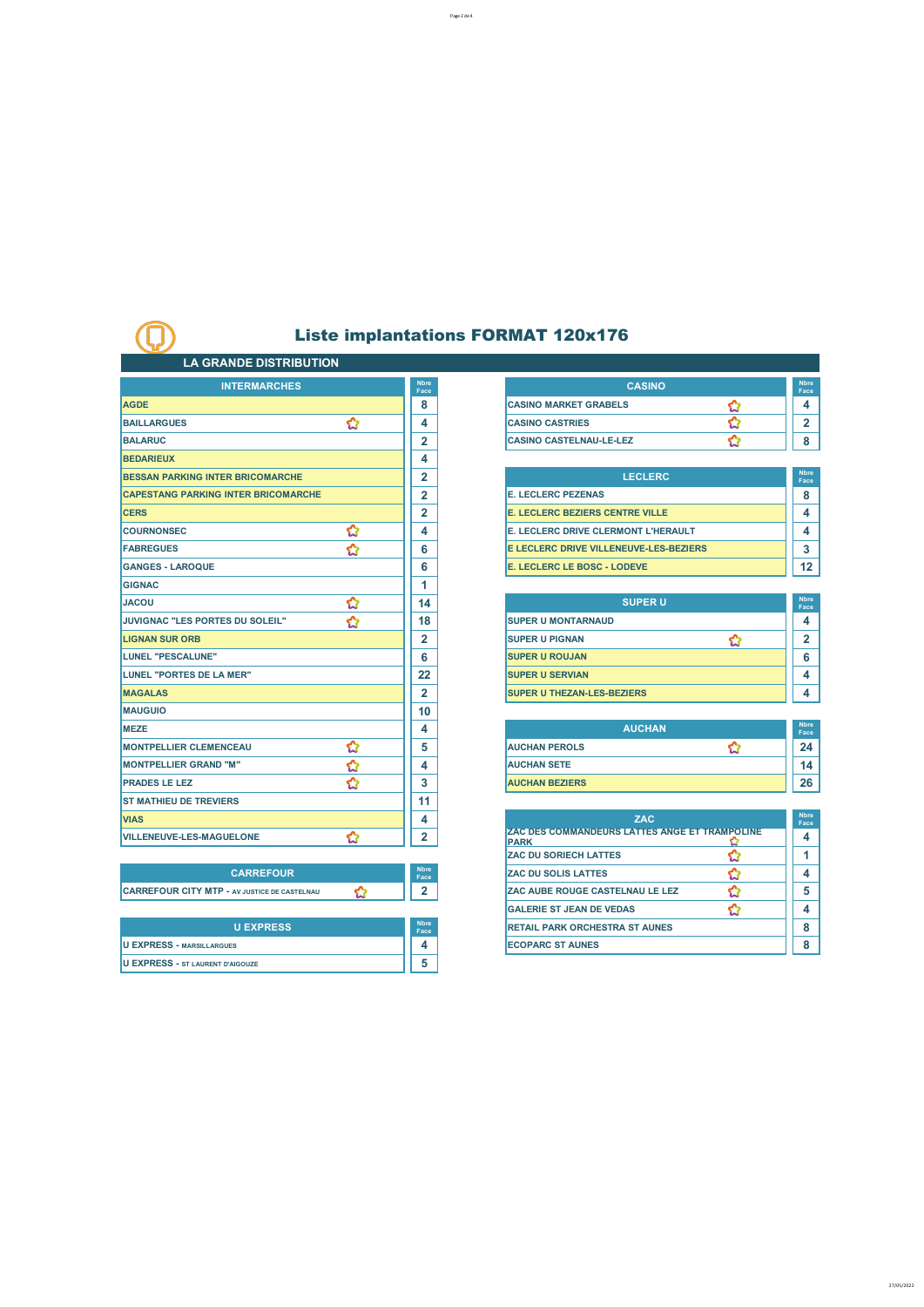#### **LA GRANDE DISTRIBUTION**

Œ

| <b>INTERMARCHES</b>                                 |   | <b>Nbre</b><br>Face |
|-----------------------------------------------------|---|---------------------|
| <b>AGDE</b>                                         |   | 8                   |
| <b>BAILLARGUES</b>                                  | ✿ | 4                   |
| <b>BALARUC</b>                                      |   | 2                   |
| <b>BEDARIEUX</b>                                    |   | 4                   |
| <b>BESSAN PARKING INTER BRICOMARCHE</b>             |   | $\overline{2}$      |
| <b>CAPESTANG PARKING INTER BRICOMARCHE</b>          |   | $\overline{2}$      |
| <b>CERS</b>                                         |   | $\overline{2}$      |
| <b>COURNONSEC</b>                                   | ✿ | 4                   |
| <b>FABREGUES</b>                                    | ✿ | 6                   |
| <b>GANGES - LAROQUE</b>                             |   | 6                   |
| <b>GIGNAC</b>                                       |   | 1                   |
| <b>JACOU</b>                                        | ✿ | 14                  |
| JUVIGNAC "LES PORTES DU SOLEIL"                     | ✿ | 18                  |
| <b>LIGNAN SUR ORB</b>                               |   | $\overline{2}$      |
| LUNEL "PESCALUNE"                                   |   | 6                   |
| LUNEL "PORTES DE LA MER"                            |   | 22                  |
| <b>MAGALAS</b>                                      |   | $\overline{2}$      |
| <b>MAUGUIO</b>                                      |   | 10                  |
| <b>MEZE</b>                                         |   | 4                   |
| <b>MONTPELLIER CLEMENCEAU</b>                       | ✿ | 5                   |
| <b>MONTPELLIER GRAND "M"</b>                        | ✿ | 4                   |
| <b>PRADES LE LEZ</b>                                | ☆ | 3                   |
| <b>ST MATHIEU DE TREVIERS</b>                       |   | 11                  |
| <b>VIAS</b>                                         |   | 4                   |
| <b>VILLENEUVE-LES-MAGUELONE</b>                     | ✿ | $\overline{2}$      |
|                                                     |   |                     |
| <b>CARREFOUR</b>                                    |   | <b>Nbre</b><br>Face |
| <b>CARREFOUR CITY MTP - AV JUSTICE DE CASTELNAU</b> | ✿ | $\mathbf{2}$        |
|                                                     |   |                     |
| <b>U EXPRESS</b>                                    |   | <b>Nbre</b><br>Face |
| <b>U EXPRESS - MARSILLARGUES</b>                    |   | 4                   |
| <b>U EXPRESS - ST LAURENT D'AIGOUZE</b>             |   | 5                   |
|                                                     |   |                     |

| <b>Nbre</b><br>Face | <b>CASINO</b>                  | <b>N</b> bre<br>Face |
|---------------------|--------------------------------|----------------------|
|                     | <b>CASINO MARKET GRABELS</b>   |                      |
|                     | <b>CASINO CASTRIES</b>         |                      |
|                     | <b>CASINO CASTELNAU-LE-LEZ</b> |                      |

| <b>BESSAN PARKING INTER BRICOMARCHE</b>    | ີ | <b>LECLERC</b>                             | <b>Nbre</b><br>Face |
|--------------------------------------------|---|--------------------------------------------|---------------------|
| <b>CAPESTANG PARKING INTER BRICOMARCHE</b> | ◠ | <b>IE. LECLERC PEZENAS</b>                 |                     |
| <b>CERS</b>                                | ີ | <b>E. LECLERC BEZIERS CENTRE VILLE</b>     |                     |
| <b>COURNONSEC</b>                          |   | <b>E. LECLERC DRIVE CLERMONT L'HERAULT</b> |                     |
| <b>FABREGUES</b>                           | 6 | E LECLERC DRIVE VILLENEUVE-LES-BEZIERS     |                     |
| <b>GANGES - LAROQUE</b>                    | 6 | E. LECLERC LE BOSC - LODEVE                | $12 \,$             |

| <b>SUPERU</b>                      | <b>N</b> bre<br>Face |
|------------------------------------|----------------------|
| <b>ISUPER U MONTARNAUD</b>         |                      |
| <b>SUPER U PIGNAN</b>              |                      |
| <b>SUPER U ROUJAN</b>              | հ                    |
| <b>SUPER U SERVIAN</b>             |                      |
| <b>ISUPER U THEZAN-LES-BEZIERS</b> |                      |

| <b>MEZE</b>                   |  | <b>AUCHAN</b>          |  | <b>Nbre</b><br>Face |
|-------------------------------|--|------------------------|--|---------------------|
| <b>MONTPELLIER CLEMENCEAU</b> |  | <b>IAUCHAN PEROLS</b>  |  | 24                  |
| <b>MONTPELLIER GRAND "M"</b>  |  | <b>IAUCHAN SETE</b>    |  | 14                  |
| <b>PRADES LE LEZ</b><br>w     |  | <b>IAUCHAN BEZIERS</b> |  | 26                  |

| <b>VIAS</b>                                         | 4                   | <b>ZAC</b>                                                           | <b>Nbre</b><br>Face |
|-----------------------------------------------------|---------------------|----------------------------------------------------------------------|---------------------|
| <b>VILLENEUVE-LES-MAGUELONE</b>                     |                     | <b>ZAC DES COMMANDEURS LATTES ANGE ET TRAMPOLINE</b><br><b>IPARK</b> | 4                   |
|                                                     |                     | <b>ZAC DU SORIECH LATTES</b>                                         |                     |
| <b>CARREFOUR</b>                                    | <b>Nbre</b><br>Face | <b>ZAC DU SOLIS LATTES</b>                                           |                     |
| <b>CARREFOUR CITY MTP - AV JUSTICE DE CASTELNAU</b> | 2                   | <b>ZAC AUBE ROUGE CASTELNAU LE LEZ</b>                               |                     |
|                                                     |                     | <b>GALERIE ST JEAN DE VEDAS</b>                                      |                     |
| <b>U EXPRESS</b>                                    | <b>Nbre</b><br>Face | <b>RETAIL PARK ORCHESTRA ST AUNES</b>                                |                     |
| <b>U EXPRESS - MARSILLARGUES</b>                    | д                   | <b>ECOPARC ST AUNES</b>                                              | o                   |

27/05/2022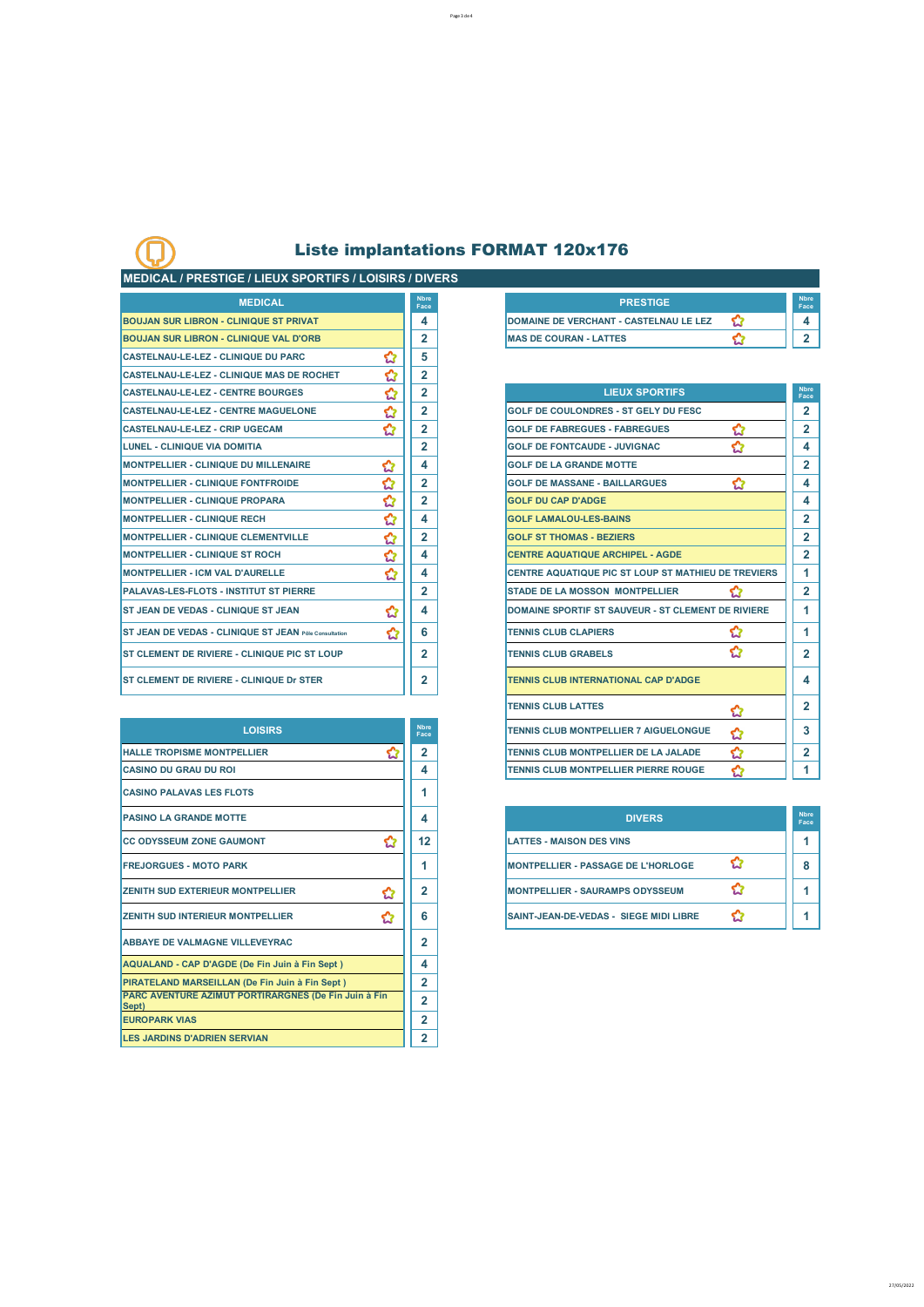Page 3 de 4

### **MEDICAL / PRESTIGE / LIEUX SPORTIFS / LOISIRS / DIVERS**

| <b>MEDICAL</b>                                               |   | <b>Nbre</b><br>Face |
|--------------------------------------------------------------|---|---------------------|
| <b>BOUJAN SUR LIBRON - CLINIQUE ST PRIVAT</b>                |   | 4                   |
| <b>BOUJAN SUR LIBRON - CLINIQUE VAL D'ORB</b>                |   | $\overline{2}$      |
| <b>CASTELNAU-LE-LEZ - CLINIQUE DU PARC</b>                   | ✿ | 5                   |
| <b>CASTELNAU-LE-LEZ - CLINIQUE MAS DE ROCHET</b>             | ✿ | $\overline{2}$      |
| <b>CASTELNAU-LE-LEZ - CENTRE BOURGES</b>                     | ✿ | $\overline{2}$      |
| <b>CASTELNAU-LE-LEZ - CENTRE MAGUELONE</b>                   |   | $\overline{2}$      |
| <b>CASTELNAU-LE-LEZ - CRIP UGECAM</b>                        | ✿ | $\overline{2}$      |
| <b>LUNEL - CLINIQUE VIA DOMITIA</b>                          |   | $\overline{2}$      |
| <b>MONTPELLIER - CLINIQUE DU MILLENAIRE</b>                  | ✿ | 4                   |
| <b>MONTPELLIER - CLINIQUE FONTFROIDE</b>                     | ☆ | $\overline{2}$      |
| <b>MONTPELLIER - CLINIQUE PROPARA</b>                        | ✿ | $\overline{2}$      |
| <b>MONTPELLIER - CLINIQUE RECH</b>                           | ✿ | 4                   |
| <b>MONTPELLIER - CLINIQUE CLEMENTVILLE</b>                   | ✿ | $\overline{2}$      |
| <b>MONTPELLIER - CLINIQUE ST ROCH</b>                        | ✿ | 4                   |
| <b>MONTPELLIER - ICM VAL D'AURELLE</b>                       | ✿ | 4                   |
| <b>PALAVAS-LES-FLOTS - INSTITUT ST PIERRE</b>                |   | $\overline{2}$      |
| <b>ST JEAN DE VEDAS - CLINIQUE ST JEAN</b>                   | ✿ | 4                   |
| <b>ST JEAN DE VEDAS - CLINIQUE ST JEAN Pôle Consultation</b> | ✿ | 6                   |
| <b>ST CLEMENT DE RIVIERE - CLINIQUE PIC ST LOUP</b>          |   | $\mathbf{2}$        |
| <b>ST CLEMENT DE RIVIERE - CLINIQUE Dr STER</b>              |   | $\mathbf{2}$        |

| <b>LOISIRS</b>                                                |   | <b>Nbre</b><br>Face | TENNIS CLUB MONTPELLIER 7 AIGUELONGUE     | ✿ |
|---------------------------------------------------------------|---|---------------------|-------------------------------------------|---|
| <b>HALLE TROPISME MONTPELLIER</b>                             | ध | $\overline{2}$      | TENNIS CLUB MONTPELLIER DE LA JALADE      | ✿ |
| <b>CASINO DU GRAU DU ROI</b>                                  |   | 4                   | TENNIS CLUB MONTPELLIER PIERRE ROUGE      | ✿ |
| <b>CASINO PALAVAS LES FLOTS</b>                               |   | 1                   |                                           |   |
| <b>PASINO LA GRANDE MOTTE</b>                                 |   | 4                   | <b>DIVERS</b>                             |   |
| <b>ICC ODYSSEUM ZONE GAUMONT</b>                              | ✿ | 12                  | <b>LATTES - MAISON DES VINS</b>           |   |
| <b>FREJORGUES - MOTO PARK</b>                                 |   |                     | <b>MONTPELLIER - PASSAGE DE L'HORLOGE</b> | ✿ |
| <b>ZENITH SUD EXTERIEUR MONTPELLIER</b>                       | ✿ | $\overline{2}$      | <b>MONTPELLIER - SAURAMPS ODYSSEUM</b>    | ✿ |
| <b>ZENITH SUD INTERIEUR MONTPELLIER</b>                       | ✿ | 6                   | SAINT-JEAN-DE-VEDAS - SIEGE MIDI LIBRE    | ✿ |
| <b>ABBAYE DE VALMAGNE VILLEVEYRAC</b>                         |   | $\overline{2}$      |                                           |   |
| AQUALAND - CAP D'AGDE (De Fin Juin à Fin Sept)                |   | 4                   |                                           |   |
| PIRATELAND MARSEILLAN (De Fin Juin à Fin Sept)                |   | $\overline{2}$      |                                           |   |
| PARC AVENTURE AZIMUT PORTIRARGNES (De Fin Juin à Fin<br>Sept) |   | $\mathbf{2}$        |                                           |   |
| <b>EUROPARK VIAS</b>                                          |   | $\mathbf{2}$        |                                           |   |
| <b>LES JARDINS D'ADRIEN SERVIAN</b>                           |   | $\mathbf{2}$        |                                           |   |
|                                                               |   |                     |                                           |   |

| <b>Nhre</b><br>Face | <b>PRESTIGE</b>                        | <b>N</b> bre<br>Eace |
|---------------------|----------------------------------------|----------------------|
|                     | DOMAINE DE VERCHANT - CASTELNAU LE LEZ |                      |
|                     | <b>MAS DE COURAN - LATTES</b>          |                      |
|                     |                                        |                      |

| <b>CASTELNAU-LE-LEZ - CENTRE BOURGES</b>              | ✿ | $\mathbf{2}$        | <b>LIEUX SPORTIFS</b>                               | <b>Nbre</b><br>Face |
|-------------------------------------------------------|---|---------------------|-----------------------------------------------------|---------------------|
| <b>CASTELNAU-LE-LEZ - CENTRE MAGUELONE</b>            | ✿ | $\mathbf{2}$        | GOLF DE COULONDRES - ST GELY DU FESC                | $\mathbf{2}$        |
| <b>CASTELNAU-LE-LEZ - CRIP UGECAM</b>                 | ☆ | $\overline{2}$      | ✿<br><b>GOLF DE FABREGUES - FABREGUES</b>           | $\mathbf{2}$        |
| LUNEL - CLINIQUE VIA DOMITIA                          |   | $\overline{2}$      | ☆<br><b>GOLF DE FONTCAUDE - JUVIGNAC</b>            | 4                   |
| <b>MONTPELLIER - CLINIQUE DU MILLENAIRE</b>           | ✿ | 4                   | <b>GOLF DE LA GRANDE MOTTE</b>                      | $\overline{2}$      |
| <b>MONTPELLIER - CLINIQUE FONTFROIDE</b>              | ✿ | $\mathbf{2}$        | ✿<br><b>GOLF DE MASSANE - BAILLARGUES</b>           | 4                   |
| <b>MONTPELLIER - CLINIQUE PROPARA</b>                 | ✿ | $\mathbf{2}$        | <b>GOLF DU CAP D'ADGE</b>                           | 4                   |
| <b>MONTPELLIER - CLINIQUE RECH</b>                    | ☆ | 4                   | <b>GOLF LAMALOU-LES-BAINS</b>                       | $\overline{2}$      |
| <b>MONTPELLIER - CLINIQUE CLEMENTVILLE</b>            | ✿ | 2                   | <b>GOLF ST THOMAS - BEZIERS</b>                     | $\overline{2}$      |
| <b>MONTPELLIER - CLINIQUE ST ROCH</b>                 | ☆ | 4                   | <b>CENTRE AQUATIQUE ARCHIPEL - AGDE</b>             | $\overline{2}$      |
| <b>MONTPELLIER - ICM VAL D'AURELLE</b>                | ✿ | 4                   | CENTRE AQUATIQUE PIC ST LOUP ST MATHIEU DE TREVIERS | 1                   |
| PALAVAS-LES-FLOTS - INSTITUT ST PIERRE                |   | 2                   | <b>STADE DE LA MOSSON MONTPELLIER</b><br>ぐっ         | $\mathbf{2}$        |
| <b>ST JEAN DE VEDAS - CLINIQUE ST JEAN</b>            | ✿ | 4                   | DOMAINE SPORTIF ST SAUVEUR - ST CLEMENT DE RIVIERE  | 1                   |
| ST JEAN DE VEDAS - CLINIQUE ST JEAN Pôle Consultation | ✿ | 6                   | ✿<br><b>TENNIS CLUB CLAPIERS</b>                    | 1                   |
| ST CLEMENT DE RIVIERE - CLINIQUE PIC ST LOUP          |   | 2                   | ✿<br><b>TENNIS CLUB GRABELS</b>                     | 2                   |
| <b>ST CLEMENT DE RIVIERE - CLINIQUE Dr STER</b>       |   | 2                   | <b>TENNIS CLUB INTERNATIONAL CAP D'ADGE</b>         | 4                   |
|                                                       |   |                     | <b>TENNIS CLUB LATTES</b><br>☆                      | 2                   |
| <b>LOISIRS</b>                                        |   | <b>Nbre</b><br>Face | TENNIS CLUB MONTPELLIER 7 AIGUELONGUE<br>✿          | 3                   |
| <b>HALLE TROPISME MONTPELLIER</b>                     | ✿ | $\mathbf{2}$        | ✿<br>TENNIS CLUB MONTPELLIER DE LA JALADE           | $\overline{2}$      |
| <b>CASINO DU GRAU DU ROI</b>                          |   | 4                   | TENNIS CLUB MONTPELLIER PIERRE ROUGE                |                     |

| <b>PASINO LA GRANDE MOTTE</b>         |    | <b>DIVERS</b>                                 | <b>Nbre</b><br>Face |
|---------------------------------------|----|-----------------------------------------------|---------------------|
| <b>CC ODYSSEUM ZONE GAUMONT</b>       | 12 | <b>LATTES - MAISON DES VINS</b>               |                     |
| <b>FREJORGUES - MOTO PARK</b>         |    | <b>MONTPELLIER - PASSAGE DE L'HORLOGE</b>     |                     |
| ZENITH SUD EXTERIEUR MONTPELLIER<br>ಬ | ີ  | <b>MONTPELLIER - SAURAMPS ODYSSEUM</b>        |                     |
| ZENITH SUD INTERIEUR MONTPELLIER      | 6  | <b>SAINT-JEAN-DE-VEDAS - SIEGE MIDI LIBRE</b> |                     |

27/05/2022